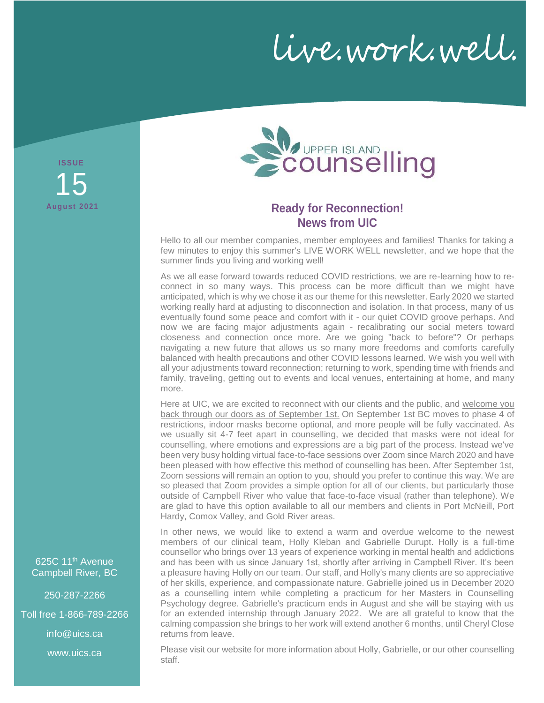live.work.well.

**ISS UE August 2021** 15



# **Ready for Reconnection! News from UIC**

Hello to all our member companies, member employees and families! Thanks for taking a few minutes to enjoy this summer's LIVE WORK WELL newsletter, and we hope that the summer finds you living and working well!

As we all ease forward towards reduced COVID restrictions, we are re-learning how to reconnect in so many ways. This process can be more difficult than we might have anticipated, which is why we chose it as our theme for this newsletter. Early 2020 we started working really hard at adjusting to disconnection and isolation. In that process, many of us eventually found some peace and comfort with it - our quiet COVID groove perhaps. And now we are facing major adjustments again - recalibrating our social meters toward closeness and connection once more. Are we going "back to before"? Or perhaps navigating a new future that allows us so many more freedoms and comforts carefully balanced with health precautions and other COVID lessons learned. We wish you well with all your adjustments toward reconnection; returning to work, spending time with friends and family, traveling, getting out to events and local venues, entertaining at home, and many more.

Here at UIC, we are excited to reconnect with our clients and the public, and welcome you back through our doors as of September 1st. On September 1st BC moves to phase 4 of restrictions, indoor masks become optional, and more people will be fully vaccinated. As we usually sit 4-7 feet apart in counselling, we decided that masks were not ideal for counselling, where emotions and expressions are a big part of the process. Instead we've been very busy holding virtual face-to-face sessions over Zoom since March 2020 and have been pleased with how effective this method of counselling has been. After September 1st, Zoom sessions will remain an option to you, should you prefer to continue this way. We are so pleased that Zoom provides a simple option for all of our clients, but particularly those outside of Campbell River who value that face-to-face visual (rather than telephone). We are glad to have this option available to all our members and clients in Port McNeill, Port Hardy, Comox Valley, and Gold River areas.

In other news, we would like to extend a warm and overdue welcome to the newest members of our clinical team, Holly Kleban and Gabrielle Durupt. Holly is a full-time counsellor who brings over 13 years of experience working in mental health and addictions and has been with us since January 1st, shortly after arriving in Campbell River. It's been a pleasure having Holly on our team. Our staff, and Holly's many clients are so appreciative of her skills, experience, and compassionate nature. Gabrielle joined us in December 2020 as a counselling intern while completing a practicum for her Masters in Counselling Psychology degree. Gabrielle's practicum ends in August and she will be staying with us for an extended internship through January 2022. We are all grateful to know that the calming compassion she brings to her work will extend another 6 months, until Cheryl Close returns from leave.

Please visit our website for more information about Holly, Gabrielle, or our other counselling staff.

625C 11<sup>th</sup> Avenue Campbell River, BC

250-287-2266

Toll free 1-866-789-2266

info@uics.ca

www.uics.ca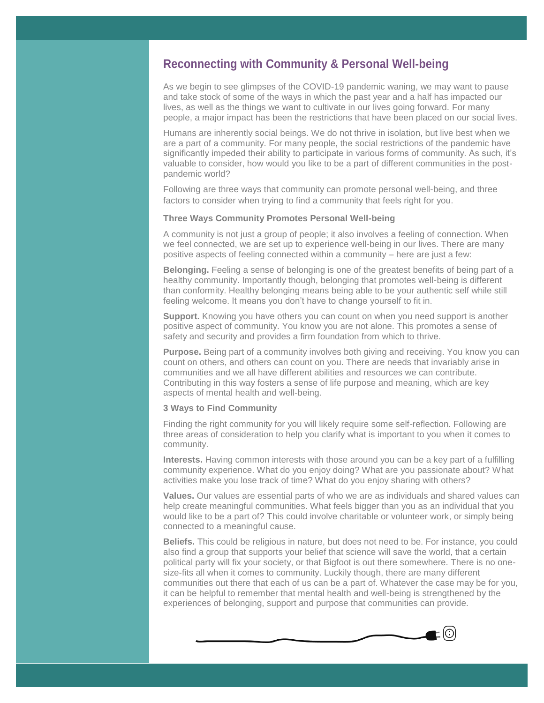## **Reconnecting with Community & Personal Well-being**

As we begin to see glimpses of the COVID-19 pandemic waning, we may want to pause and take stock of some of the ways in which the past year and a half has impacted our lives, as well as the things we want to cultivate in our lives going forward. For many people, a major impact has been the restrictions that have been placed on our social lives.

Humans are inherently social beings. We do not thrive in isolation, but live best when we are a part of a community. For many people, the social restrictions of the pandemic have significantly impeded their ability to participate in various forms of community. As such, it's valuable to consider, how would you like to be a part of different communities in the postpandemic world?

Following are three ways that community can promote personal well-being, and three factors to consider when trying to find a community that feels right for you.

#### **Three Ways Community Promotes Personal Well-being**

A community is not just a group of people; it also involves a feeling of connection. When we feel connected, we are set up to experience well-being in our lives. There are many positive aspects of feeling connected within a community – here are just a few:

**Belonging.** Feeling a sense of belonging is one of the greatest benefits of being part of a healthy community. Importantly though, belonging that promotes well-being is different than conformity. Healthy belonging means being able to be your authentic self while still feeling welcome. It means you don't have to change yourself to fit in.

**Support.** Knowing you have others you can count on when you need support is another positive aspect of community. You know you are not alone. This promotes a sense of safety and security and provides a firm foundation from which to thrive.

**Purpose.** Being part of a community involves both giving and receiving. You know you can count on others, and others can count on you. There are needs that invariably arise in communities and we all have different abilities and resources we can contribute. Contributing in this way fosters a sense of life purpose and meaning, which are key aspects of mental health and well-being.

#### **3 Ways to Find Community**

Finding the right community for you will likely require some self-reflection. Following are three areas of consideration to help you clarify what is important to you when it comes to community.

**Interests.** Having common interests with those around you can be a key part of a fulfilling community experience. What do you enjoy doing? What are you passionate about? What activities make you lose track of time? What do you enjoy sharing with others?

**Values.** Our values are essential parts of who we are as individuals and shared values can help create meaningful communities. What feels bigger than you as an individual that you would like to be a part of? This could involve charitable or volunteer work, or simply being connected to a meaningful cause.

**Beliefs.** This could be religious in nature, but does not need to be. For instance, you could also find a group that supports your belief that science will save the world, that a certain political party will fix your society, or that Bigfoot is out there somewhere. There is no onesize-fits all when it comes to community. Luckily though, there are many different communities out there that each of us can be a part of. Whatever the case may be for you, it can be helpful to remember that mental health and well-being is strengthened by the experiences of belonging, support and purpose that communities can provide.

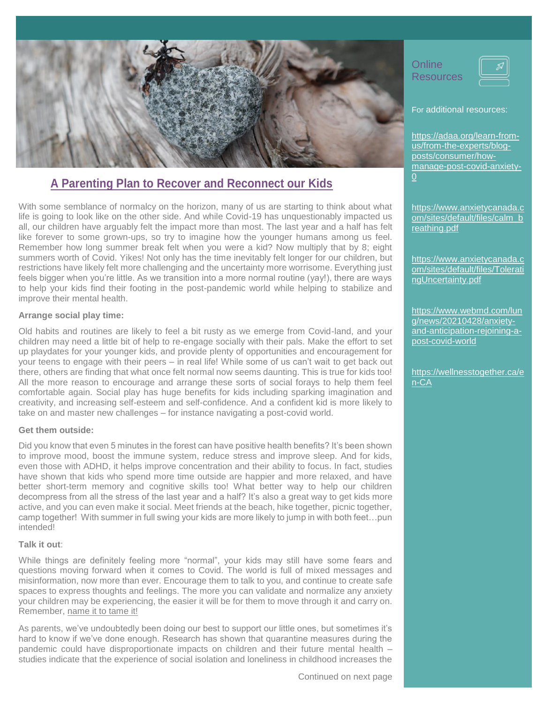

# **A Parenting Plan to Recover and Reconnect our Kids**

With some semblance of normalcy on the horizon, many of us are starting to think about what life is going to look like on the other side. And while Covid-19 has unquestionably impacted us all, our children have arguably felt the impact more than most. The last year and a half has felt like forever to some grown-ups, so try to imagine how the younger humans among us feel. Remember how long summer break felt when you were a kid? Now multiply that by 8; eight summers worth of Covid. Yikes! Not only has the time inevitably felt longer for our children, but restrictions have likely felt more challenging and the uncertainty more worrisome. Everything just feels bigger when you're little. As we transition into a more normal routine (yay!), there are ways to help your kids find their footing in the post-pandemic world while helping to stabilize and improve their mental health.

#### **Arrange social play time:**

Old habits and routines are likely to feel a bit rusty as we emerge from Covid-land, and your children may need a little bit of help to re-engage socially with their pals. Make the effort to set up playdates for your younger kids, and provide plenty of opportunities and encouragement for your teens to engage with their peers – in real life! While some of us can't wait to get back out there, others are finding that what once felt normal now seems daunting. This is true for kids too! All the more reason to encourage and arrange these sorts of social forays to help them feel comfortable again. Social play has huge benefits for kids including sparking imagination and creativity, and increasing self-esteem and self-confidence. And a confident kid is more likely to take on and master new challenges – for instance navigating a post-covid world.

#### **Get them outside:**

Did you know that even 5 minutes in the forest can have positive health benefits? It's been shown to improve mood, boost the immune system, reduce stress and improve sleep. And for kids, even those with ADHD, it helps improve concentration and their ability to focus. In fact, studies have shown that kids who spend more time outside are happier and more relaxed, and have better short-term memory and cognitive skills too! What better way to help our children decompress from all the stress of the last year and a half? It's also a great way to get kids more active, and you can even make it social. Meet friends at the beach, hike together, picnic together, camp together! With summer in full swing your kids are more likely to jump in with both feet…pun intended!

### **Talk it out**:

While things are definitely feeling more "normal", your kids may still have some fears and questions moving forward when it comes to Covid. The world is full of mixed messages and misinformation, now more than ever. Encourage them to talk to you, and continue to create safe spaces to express thoughts and feelings. The more you can validate and normalize any anxiety your children may be experiencing, the easier it will be for them to move through it and carry on. Remember, name it to tame it!

As parents, we've undoubtedly been doing our best to support our little ones, but sometimes it's hard to know if we've done enough. Research has shown that quarantine measures during the pandemic could have disproportionate impacts on children and their future mental health – studies indicate that the experience of social isolation and loneliness in childhood increases the **Online Resources** 



For additional resources:

[https://adaa.org/learn-from](https://adaa.org/learn-from-us/from-the-experts/blog-posts/consumer/how-manage-post-covid-anxiety-0)[us/from-the-experts/blog](https://adaa.org/learn-from-us/from-the-experts/blog-posts/consumer/how-manage-post-covid-anxiety-0)[posts/consumer/how](https://adaa.org/learn-from-us/from-the-experts/blog-posts/consumer/how-manage-post-covid-anxiety-0)[manage-post-covid-anxiety-](https://adaa.org/learn-from-us/from-the-experts/blog-posts/consumer/how-manage-post-covid-anxiety-0)[0](https://adaa.org/learn-from-us/from-the-experts/blog-posts/consumer/how-manage-post-covid-anxiety-0)

[https://www.anxietycanada.c](https://www.anxietycanada.com/sites/default/files/calm_breathing.pdf) [om/sites/default/files/calm\\_b](https://www.anxietycanada.com/sites/default/files/calm_breathing.pdf) [reathing.pdf](https://www.anxietycanada.com/sites/default/files/calm_breathing.pdf)

[https://www.anxietycanada.c](https://www.anxietycanada.com/sites/default/files/ToleratingUncertainty.pdf) [om/sites/default/files/Tolerati](https://www.anxietycanada.com/sites/default/files/ToleratingUncertainty.pdf) [ngUncertainty.pdf](https://www.anxietycanada.com/sites/default/files/ToleratingUncertainty.pdf)

[https://www.webmd.com/lun](https://www.webmd.com/lung/news/20210428/anxiety-and-anticipation-rejoining-a-post-covid-world) [g/news/20210428/anxiety](https://www.webmd.com/lung/news/20210428/anxiety-and-anticipation-rejoining-a-post-covid-world)[and-anticipation-rejoining-a](https://www.webmd.com/lung/news/20210428/anxiety-and-anticipation-rejoining-a-post-covid-world)[post-covid-world](https://www.webmd.com/lung/news/20210428/anxiety-and-anticipation-rejoining-a-post-covid-world)

https://wellnesstogether.ca/e n-CA